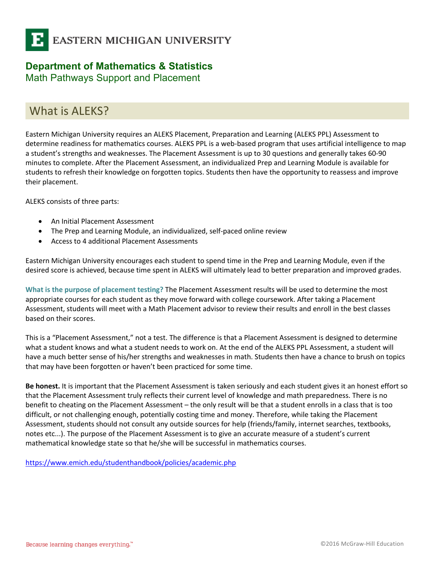

# **Department of Mathematics & Statistics**

Math Pathways Support and Placement

### What is ALEKS?

Eastern Michigan University requires an ALEKS Placement, Preparation and Learning (ALEKS PPL) Assessment to determine readiness for mathematics courses. ALEKS PPL is a web-based program that uses artificial intelligence to map a student's strengths and weaknesses. The Placement Assessment is up to 30 questions and generally takes 60-90 minutes to complete. After the Placement Assessment, an individualized Prep and Learning Module is available for students to refresh their knowledge on forgotten topics. Students then have the opportunity to reassess and improve their placement.

ALEKS consists of three parts:

- An Initial Placement Assessment
- The Prep and Learning Module, an individualized, self-paced online review
- Access to 4 additional Placement Assessments

Eastern Michigan University encourages each student to spend time in the Prep and Learning Module, even if the desired score is achieved, because time spent in ALEKS will ultimately lead to better preparation and improved grades.

**What is the purpose of placement testing?** The Placement Assessment results will be used to determine the most appropriate courses for each student as they move forward with college coursework. After taking a Placement Assessment, students will meet with a Math Placement advisor to review their results and enroll in the best classes based on their scores.

This is a "Placement Assessment," not a test. The difference is that a Placement Assessment is designed to determine what a student knows and what a student needs to work on. At the end of the ALEKS PPL Assessment, a student will have a much better sense of his/her strengths and weaknesses in math. Students then have a chance to brush on topics that may have been forgotten or haven't been practiced for some time.

**Be honest.** It is important that the Placement Assessment is taken seriously and each student gives it an honest effort so that the Placement Assessment truly reflects their current level of knowledge and math preparedness. There is no benefit to cheating on the Placement Assessment – the only result will be that a student enrolls in a class that is too difficult, or not challenging enough, potentially costing time and money. Therefore, while taking the Placement Assessment, students should not consult any outside sources for help (friends/family, internet searches, textbooks, notes etc...). The purpose of the Placement Assessment is to give an accurate measure of a student's current mathematical knowledge state so that he/she will be successful in mathematics courses.

https://www.emich.edu/studenthandbook/policies/academic.php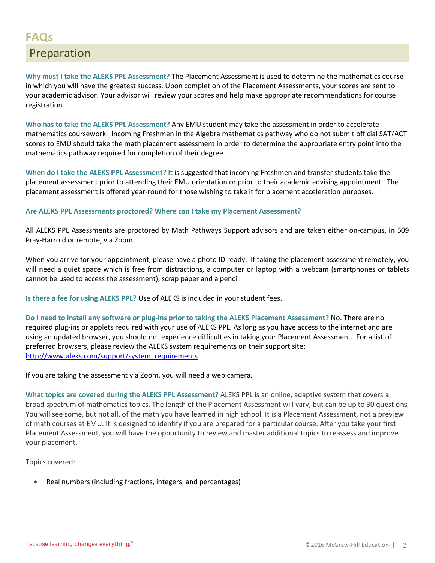**Why must I take the ALEKS PPL Assessment?** The Placement Assessment is used to determine the mathematics course in which you will have the greatest success. Upon completion of the Placement Assessments, your scores are sent to your academic advisor. Your advisor will review your scores and help make appropriate recommendations for course registration.

**Who has to take the ALEKS PPL Assessment?** Any EMU student may take the assessment in order to accelerate mathematics coursework. Incoming Freshmen in the Algebra mathematics pathway who do not submit official SAT/ACT scores to EMU should take the math placement assessment in order to determine the appropriate entry point into the mathematics pathway required for completion of their degree.

**When do I take the ALEKS PPL Assessment?** It is suggested that incoming Freshmen and transfer students take the placement assessment prior to attending their EMU orientation or prior to their academic advising appointment. The placement assessment is offered year-round for those wishing to take it for placement acceleration purposes.

#### **Are ALEKS PPL Assessments proctored? Where can I take my Placement Assessment?**

All ALEKS PPL Assessments are proctored by Math Pathways Support advisors and are taken either on-campus, in 509 Pray-Harrold or remote, via Zoom.

When you arrive for your appointment, please have a photo ID ready. If taking the placement assessment remotely, you will need a quiet space which is free from distractions, a computer or laptop with a webcam (smartphones or tablets cannot be used to access the assessment), scrap paper and a pencil.

**Is there a fee for using ALEKS PPL?** Use of ALEKS is included in your student fees.

**Do I need to install any software or plug-ins prior to taking the ALEKS Placement Assessment?** No. There are no required plug-ins or applets required with your use of ALEKS PPL. As long as you have access to the internet and are using an updated browser, you should not experience difficulties in taking your Placement Assessment. For a list of preferred browsers, please review the ALEKS system requirements on their support site: http://www.aleks.com/support/system\_requirements

If you are taking the assessment via Zoom, you will need a web camera.

**What topics are covered during the ALEKS PPL Assessment?** ALEKS PPL is an online, adaptive system that covers a broad spectrum of mathematics topics. The length of the Placement Assessment will vary, but can be up to 30 questions. You will see some, but not all, of the math you have learned in high school. It is a Placement Assessment, not a preview of math courses at EMU. It is designed to identify if you are prepared for a particular course. After you take your first Placement Assessment, you will have the opportunity to review and master additional topics to reassess and improve your placement.

Topics covered:

• Real numbers (including fractions, integers, and percentages)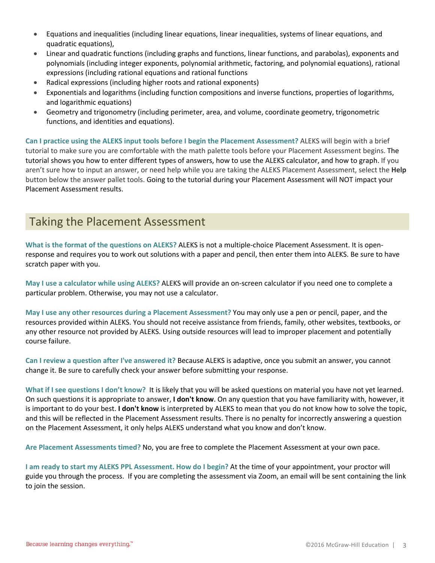- Equations and inequalities (including linear equations, linear inequalities, systems of linear equations, and quadratic equations),
- Linear and quadratic functions (including graphs and functions, linear functions, and parabolas), exponents and polynomials (including integer exponents, polynomial arithmetic, factoring, and polynomial equations), rational expressions (including rational equations and rational functions
- Radical expressions (including higher roots and rational exponents)
- Exponentials and logarithms (including function compositions and inverse functions, properties of logarithms, and logarithmic equations)
- Geometry and trigonometry (including perimeter, area, and volume, coordinate geometry, trigonometric functions, and identities and equations).

**Can I practice using the ALEKS input tools before I begin the Placement Assessment?** ALEKS will begin with a brief tutorial to make sure you are comfortable with the math palette tools before your Placement Assessment begins. The tutorial shows you how to enter different types of answers, how to use the ALEKS calculator, and how to graph. If you aren't sure how to input an answer, or need help while you are taking the ALEKS Placement Assessment, select the **Help** button below the answer pallet tools. Going to the tutorial during your Placement Assessment will NOT impact your Placement Assessment results.

### Taking the Placement Assessment

**What is the format of the questions on ALEKS?** ALEKS is not a multiple-choice Placement Assessment. It is openresponse and requires you to work out solutions with a paper and pencil, then enter them into ALEKS. Be sure to have scratch paper with you.

**May I use a calculator while using ALEKS?** ALEKS will provide an on-screen calculator if you need one to complete a particular problem. Otherwise, you may not use a calculator.

**May I use any other resources during a Placement Assessment?** You may only use a pen or pencil, paper, and the resources provided within ALEKS. You should not receive assistance from friends, family, other websites, textbooks, or any other resource not provided by ALEKS. Using outside resources will lead to improper placement and potentially course failure.

**Can I review a question after I've answered it?** Because ALEKS is adaptive, once you submit an answer, you cannot change it. Be sure to carefully check your answer before submitting your response.

**What if I see questions I don't know?** It is likely that you will be asked questions on material you have not yet learned. On such questions it is appropriate to answer, **I don't know**. On any question that you have familiarity with, however, it is important to do your best. **I don't know** is interpreted by ALEKS to mean that you do not know how to solve the topic, and this will be reflected in the Placement Assessment results. There is no penalty for incorrectly answering a question on the Placement Assessment, it only helps ALEKS understand what you know and don't know.

**Are Placement Assessments timed?** No, you are free to complete the Placement Assessment at your own pace.

**I am ready to start my ALEKS PPL Assessment. How do I begin?** At the time of your appointment, your proctor will guide you through the process. If you are completing the assessment via Zoom, an email will be sent containing the link to join the session.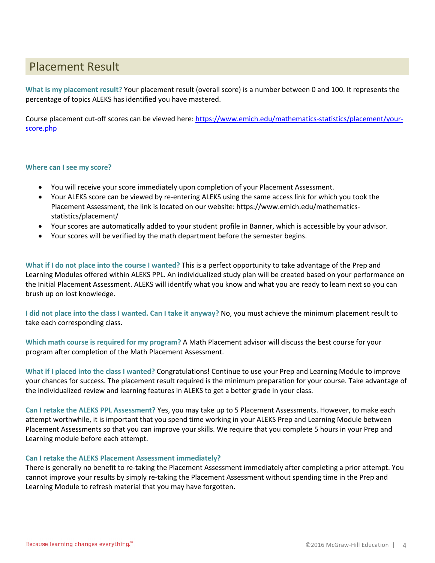## Placement Result

**What is my placement result?** Your placement result (overall score) is a number between 0 and 100. It represents the percentage of topics ALEKS has identified you have mastered.

Course placement cut-off scores can be viewed here: https://www.emich.edu/mathematics-statistics/placement/yourscore.php

#### **Where can I see my score?**

- You will receive your score immediately upon completion of your Placement Assessment.
- Your ALEKS score can be viewed by re-entering ALEKS using the same access link for which you took the Placement Assessment, the link is located on our website: https://www.emich.edu/mathematicsstatistics/placement/
- Your scores are automatically added to your student profile in Banner, which is accessible by your advisor.
- Your scores will be verified by the math department before the semester begins.

**What if I do not place into the course I wanted?** This is a perfect opportunity to take advantage of the Prep and Learning Modules offered within ALEKS PPL. An individualized study plan will be created based on your performance on the Initial Placement Assessment. ALEKS will identify what you know and what you are ready to learn next so you can brush up on lost knowledge.

**I did not place into the class I wanted. Can I take it anyway?** No, you must achieve the minimum placement result to take each corresponding class.

**Which math course is required for my program?** A Math Placement advisor will discuss the best course for your program after completion of the Math Placement Assessment.

**What if I placed into the class I wanted?** Congratulations! Continue to use your Prep and Learning Module to improve your chances for success. The placement result required is the minimum preparation for your course. Take advantage of the individualized review and learning features in ALEKS to get a better grade in your class.

**Can I retake the ALEKS PPL Assessment?** Yes, you may take up to 5 Placement Assessments. However, to make each attempt worthwhile, it is important that you spend time working in your ALEKS Prep and Learning Module between Placement Assessments so that you can improve your skills. We require that you complete 5 hours in your Prep and Learning module before each attempt.

#### **Can I retake the ALEKS Placement Assessment immediately?**

There is generally no benefit to re-taking the Placement Assessment immediately after completing a prior attempt. You cannot improve your results by simply re-taking the Placement Assessment without spending time in the Prep and Learning Module to refresh material that you may have forgotten.